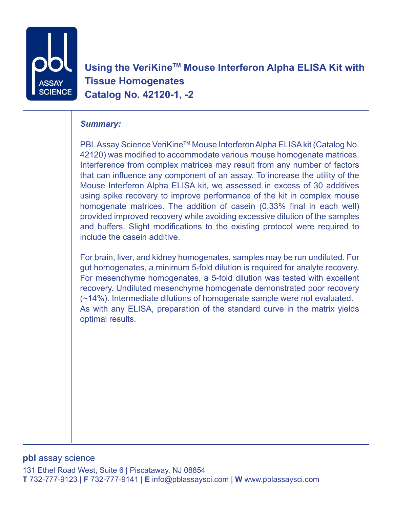

Using the VeriKine<sup>™</sup> Mouse Interferon Alpha ELISA Kit with **Tissue Homogenates Catalog No. 42120-1, -2**

# *Summary:*

PBL Assay Science VeriKine™ Mouse Interferon Alpha ELISA kit (Catalog No. 42120) was modified to accommodate various mouse homogenate matrices. Interference from complex matrices may result from any number of factors that can influence any component of an assay. To increase the utility of the Mouse Interferon Alpha ELISA kit, we assessed in excess of 30 additives using spike recovery to improve performance of the kit in complex mouse homogenate matrices. The addition of casein (0.33% final in each well) provided improved recovery while avoiding excessive dilution of the samples and buffers. Slight modifications to the existing protocol were required to include the casein additive.

For brain, liver, and kidney homogenates, samples may be run undiluted. For gut homogenates, a minimum 5-fold dilution is required for analyte recovery. For mesenchyme homogenates, a 5-fold dilution was tested with excellent recovery. Undiluted mesenchyme homogenate demonstrated poor recovery (~14%). Intermediate dilutions of homogenate sample were not evaluated. As with any ELISA, preparation of the standard curve in the matrix yields optimal results.

## **pbl** assay science

131 Ethel Road West, Suite 6 | Piscataway, NJ 08854 **T** 732-777-9123 | **F** 732-777-9141 | **E** info@pblassaysci.com | **W** www.pblassaysci.com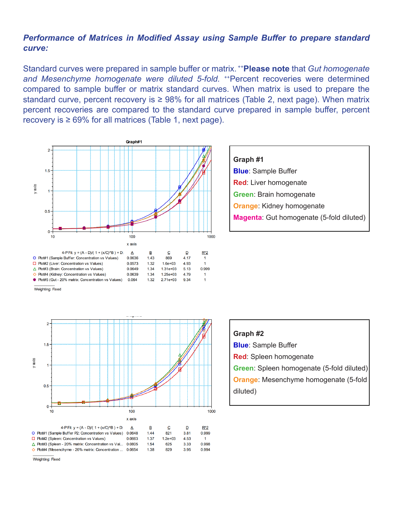## *Performance of Matrices in Modified Assay using Sample Buffer to prepare standard curve:*

Standard curves were prepared in sample buffer or matrix. ++**Please note** that *Gut homogenate*  and Mesenchyme homogenate were diluted 5-fold. <sup>++</sup>Percent recoveries were determined compared to sample buffer or matrix standard curves. When matrix is used to prepare the standard curve, percent recovery is  $\geq 98\%$  for all matrices (Table 2, next page). When matrix percent recoveries are compared to the standard curve prepared in sample buffer, percent recovery is  $\geq 69\%$  for all matrices (Table 1, next page).



**Graph #1 Blue**: Sample Buffer **Red**: Liver homogenate **Green**: Brain homogenate **Orange**: Kidney homogenate **Magenta**: Gut homogenate (5-fold diluted)





4-P Fit:  $v = (A - D)/(1 + (x/C)^{AB}) + D$ :  $\overline{B}$  $\mathbf{C}$ D  $R^2$  $\mathsf{A}$ O Plot#1 (Sample Buffer P2: Concentration vs Values) 0.0648 1.44 821 3.81 0.999 □ Plot#2 (Spleen: Concentration vs Values) 0.0663  $1.37$  $1.2e + 03$ 4.53  $\mathbf{1}$ △ Plot#3 (Spleen - 20% matrix: Concentration vs Val... 0.0805 1.54 625 3.33 0.998 ◇ Plot#4 (Mesenchyme - 20% matrix: Concentration ... 0.0654 829 3.95 0.994 1.38

Weighting: Fixed

Weighting: Fixed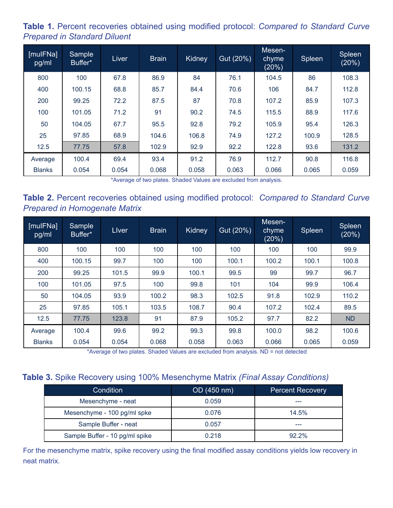**Table 1.** Percent recoveries obtained using modified protocol: *Compared to Standard Curve Prepared in Standard Diluent*

| [mulFNa]<br>pg/ml | Sample<br>Buffer* | Liver | <b>Brain</b> | <b>Kidney</b> | Gut (20%) | Mesen-<br>chyme<br>(20%) | <b>Spleen</b> | <b>Spleen</b><br>(20%) |
|-------------------|-------------------|-------|--------------|---------------|-----------|--------------------------|---------------|------------------------|
| 800               | 100               | 67.8  | 86.9         | 84            | 76.1      | 104.5                    | 86            | 108.3                  |
| 400               | 100.15            | 68.8  | 85.7         | 84.4          | 70.6      | 106                      | 84.7          | 112.8                  |
| 200               | 99.25             | 72.2  | 87.5         | 87            | 70.8      | 107.2                    | 85.9          | 107.3                  |
| 100               | 101.05            | 71.2  | 91           | 90.2          | 74.5      | 115.5                    | 88.9          | 117.6                  |
| 50                | 104.05            | 67.7  | 95.5         | 92.8          | 79.2      | 105.9                    | 95.4          | 126.3                  |
| 25                | 97.85             | 68.9  | 104.6        | 106.8         | 74.9      | 127.2                    | 100.9         | 128.5                  |
| 12.5              | 77.75             | 57.8  | 102.9        | 92.9          | 92.2      | 122.8                    | 93.6          | 131.2                  |
| Average           | 100.4             | 69.4  | 93.4         | 91.2          | 76.9      | 112.7                    | 90.8          | 116.8                  |
| <b>Blanks</b>     | 0.054             | 0.054 | 0.068        | 0.058         | 0.063     | 0.066                    | 0.065         | 0.059                  |

\*Average of two plates. Shaded Values are excluded from analysis.

**Table 2.** Percent recoveries obtained using modified protocol: *Compared to Standard Curve Prepared in Homogenate Matrix*

| [mulFNa]<br>pg/ml | Sample<br>Buffer* | Liver | <b>Brain</b> | Kidney | Gut (20%) | Mesen-<br>chyme<br>(20%) | Spleen | Spleen<br>(20%) |
|-------------------|-------------------|-------|--------------|--------|-----------|--------------------------|--------|-----------------|
| 800               | 100               | 100   | 100          | 100    | 100       | 100                      | 100    | 99.9            |
| 400               | 100.15            | 99.7  | 100          | 100    | 100.1     | 100.2                    | 100.1  | 100.8           |
| 200               | 99.25             | 101.5 | 99.9         | 100.1  | 99.5      | 99                       | 99.7   | 96.7            |
| 100               | 101.05            | 97.5  | 100          | 99.8   | 101       | 104                      | 99.9   | 106.4           |
| 50                | 104.05            | 93.9  | 100.2        | 98.3   | 102.5     | 91.8                     | 102.9  | 110.2           |
| 25                | 97.85             | 105.1 | 103.5        | 108.7  | 90.4      | 107.2                    | 102.4  | 89.5            |
| 12.5              | 77.75             | 123.8 | 91           | 87.9   | 105.2     | 97.7                     | 82.2   | <b>ND</b>       |
| Average           | 100.4             | 99.6  | 99.2         | 99.3   | 99.8      | 100.0                    | 98.2   | 100.6           |
| <b>Blanks</b>     | 0.054             | 0.054 | 0.068        | 0.058  | 0.063     | 0.066                    | 0.065  | 0.059           |

\*Average of two plates. Shaded Values are excluded from analysis. ND = not detected

#### **Table 3.** Spike Recovery using 100% Mesenchyme Matrix *(Final Assay Conditions)*

| <b>Condition</b>               | OD (450 nm) | <b>Percent Recovery</b> |
|--------------------------------|-------------|-------------------------|
| Mesenchyme - neat              | 0.059       |                         |
| Mesenchyme - 100 pg/ml spke    | 0.076       | 14.5%                   |
| Sample Buffer - neat           | 0.057       |                         |
| Sample Buffer - 10 pg/ml spike | 0.218       | 922%                    |

For the mesenchyme matrix, spike recovery using the final modified assay conditions yields low recovery in neat matrix.